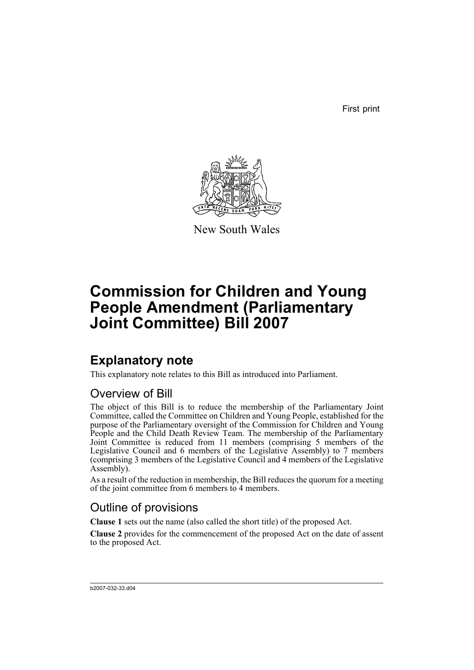First print



New South Wales

# **Commission for Children and Young People Amendment (Parliamentary Joint Committee) Bill 2007**

## **Explanatory note**

This explanatory note relates to this Bill as introduced into Parliament.

### Overview of Bill

The object of this Bill is to reduce the membership of the Parliamentary Joint Committee, called the Committee on Children and Young People, established for the purpose of the Parliamentary oversight of the Commission for Children and Young People and the Child Death Review Team. The membership of the Parliamentary Joint Committee is reduced from 11 members (comprising 5 members of the Legislative Council and 6 members of the Legislative Assembly) to 7 members (comprising 3 members of the Legislative Council and 4 members of the Legislative Assembly).

As a result of the reduction in membership, the Bill reduces the quorum for a meeting of the joint committee from 6 members to 4 members.

### Outline of provisions

**Clause 1** sets out the name (also called the short title) of the proposed Act.

**Clause 2** provides for the commencement of the proposed Act on the date of assent to the proposed Act.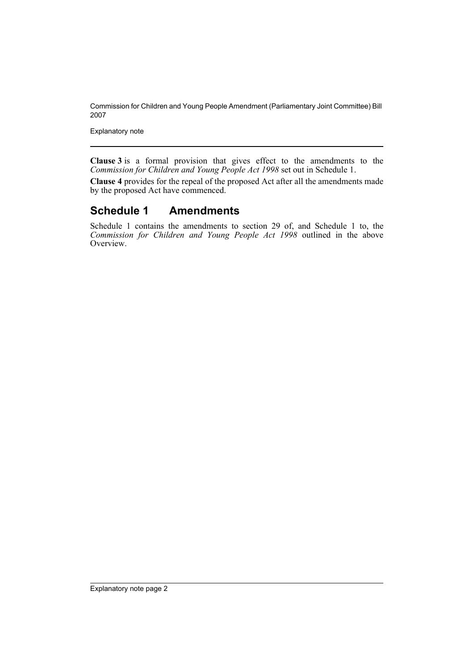Commission for Children and Young People Amendment (Parliamentary Joint Committee) Bill 2007

Explanatory note

**Clause 3** is a formal provision that gives effect to the amendments to the *Commission for Children and Young People Act 1998* set out in Schedule 1.

**Clause 4** provides for the repeal of the proposed Act after all the amendments made by the proposed Act have commenced.

#### **Schedule 1 Amendments**

Schedule 1 contains the amendments to section 29 of, and Schedule 1 to, the *Commission for Children and Young People Act 1998* outlined in the above Overview.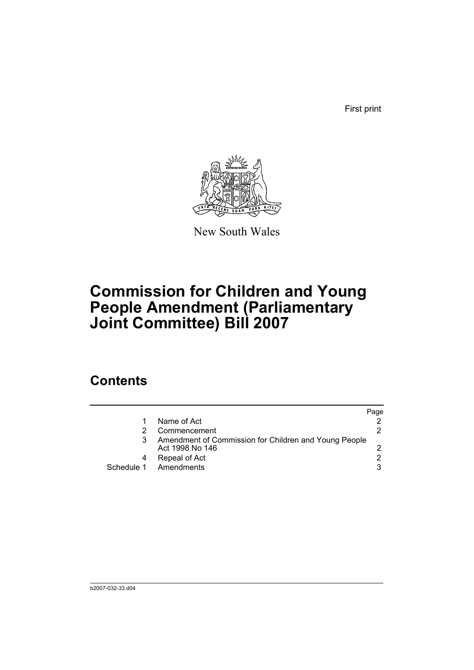First print



New South Wales

# **Commission for Children and Young People Amendment (Parliamentary Joint Committee) Bill 2007**

### **Contents**

|                                                                          | Page          |
|--------------------------------------------------------------------------|---------------|
| Name of Act                                                              |               |
| Commencement                                                             | 2             |
| Amendment of Commission for Children and Young People<br>Act 1998 No 146 |               |
| Repeal of Act                                                            | $\mathcal{P}$ |
| Schedule 1 Amendments                                                    | 3             |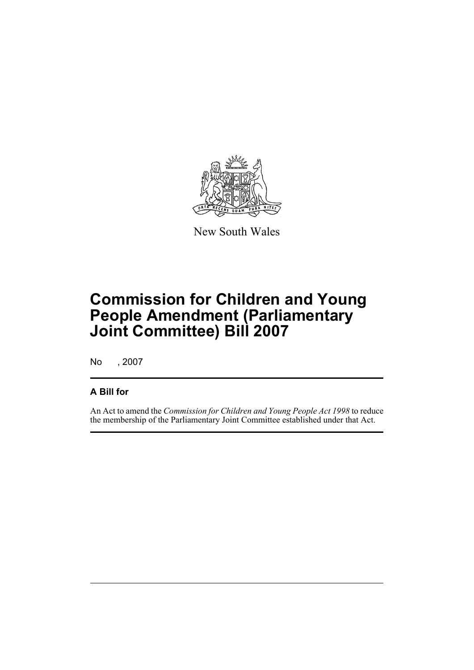

New South Wales

# **Commission for Children and Young People Amendment (Parliamentary Joint Committee) Bill 2007**

No , 2007

#### **A Bill for**

An Act to amend the *Commission for Children and Young People Act 1998* to reduce the membership of the Parliamentary Joint Committee established under that Act.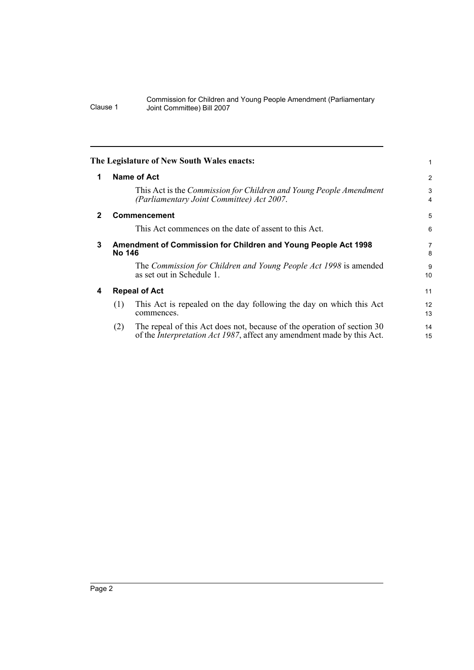<span id="page-5-3"></span><span id="page-5-2"></span><span id="page-5-1"></span><span id="page-5-0"></span>

|              |                      | The Legislature of New South Wales enacts:                                                                                                                |                |
|--------------|----------------------|-----------------------------------------------------------------------------------------------------------------------------------------------------------|----------------|
| $\mathbf 1$  |                      | Name of Act                                                                                                                                               | $\overline{2}$ |
|              |                      | This Act is the Commission for Children and Young People Amendment<br>(Parliamentary Joint Committee) Act 2007.                                           | 3<br>4         |
| $\mathbf{2}$ |                      | <b>Commencement</b>                                                                                                                                       | 5              |
|              |                      | This Act commences on the date of assent to this Act.                                                                                                     | 6              |
| 3            |                      | <b>Amendment of Commission for Children and Young People Act 1998</b><br>No 146                                                                           | 7<br>8         |
|              |                      | The Commission for Children and Young People Act 1998 is amended<br>as set out in Schedule 1.                                                             | 9<br>10        |
| 4            | <b>Repeal of Act</b> |                                                                                                                                                           | 11             |
|              | (1)                  | This Act is repealed on the day following the day on which this Act<br>commences.                                                                         | 12<br>13       |
|              | (2)                  | The repeal of this Act does not, because of the operation of section 30<br>of the <i>Interpretation Act 1987</i> , affect any amendment made by this Act. | 14<br>15       |
|              |                      |                                                                                                                                                           |                |